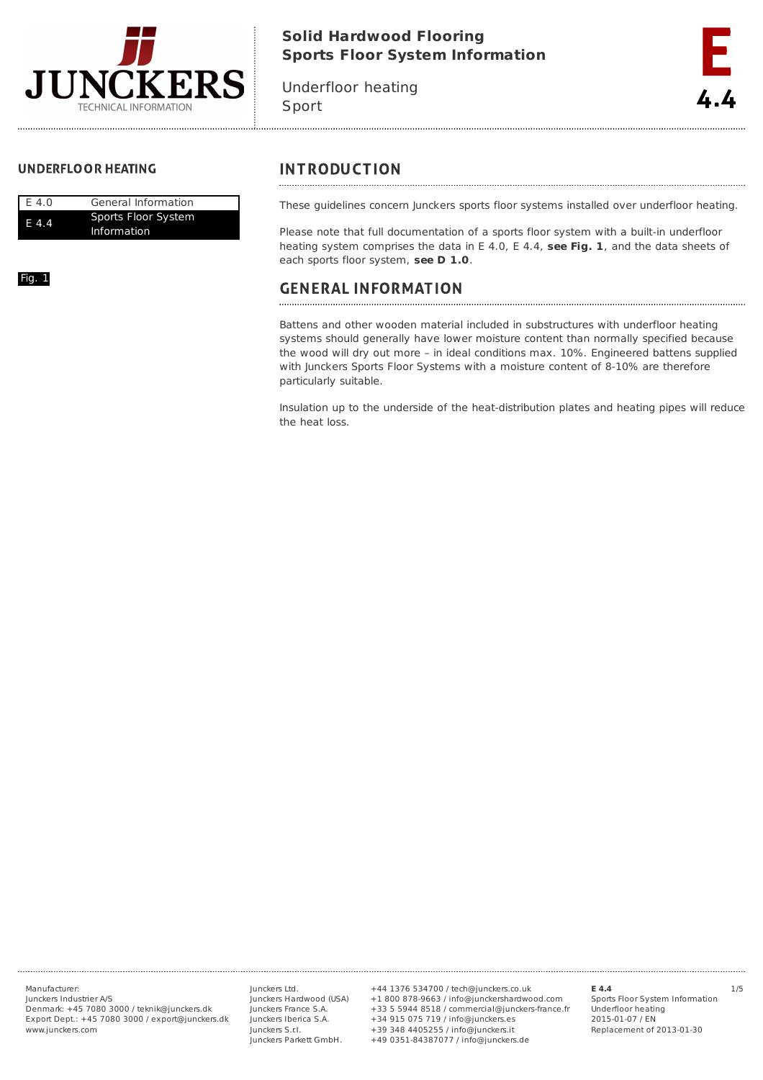

# **Solid Hardwood Flooring Sports Floor System Information**

Underfloor heating Sport



# **UNDERFLOOR HEATING**

| E 4.0 | General Information                       |
|-------|-------------------------------------------|
| F 4.4 | Sports Floor System<br><b>Information</b> |

Fig. 1

# **INTRODUCTION**

These guidelines concern Junckers sports floor systems installed over underfloor heating.

Please note that full documentation of a sports floor system with a built-in underfloor heating system comprises the data in E 4.0, E 4.4, **see Fig. 1**, and the data sheets of each sports floor system, **see D 1.0**.

# **GENERAL INFORMATION**

Battens and other wooden material included in substructures with underfloor heating systems should generally have lower moisture content than normally specified because the wood will dry out more – in ideal conditions max. 10%. Engineered battens supplied with Junckers Sports Floor Systems with a moisture content of 8-10% are therefore particularly suitable.

Insulation up to the underside of the heat-distribution plates and heating pipes will reduce the heat loss.

Junckers Industrier A/S Denmark: +45 7080 3000 / teknik@junckers.dk Export Dept.: +45 7080 3000 / export@junckers.dk www.junckers.com

Junckers Ltd. Junckers Hardwood (USA) Junckers France S.A. Junckers Iberica S.A. Junckers S.r.I. Junckers Parkett GmbH.

Manufacturer: Junckers Ltd. +44 1376 534700 / tech@junckers.co.uk **E 4.4** 1/5 +1 800 878-9663 / info@junckershardwood.com +33 5 5944 8518 / commercial@junckers-france.fr +34 915 075 719 / info@junckers.es +39 348 4405255 / info@junckers.it +49 0351-84387077 / info@junckers.de

**E 4.4**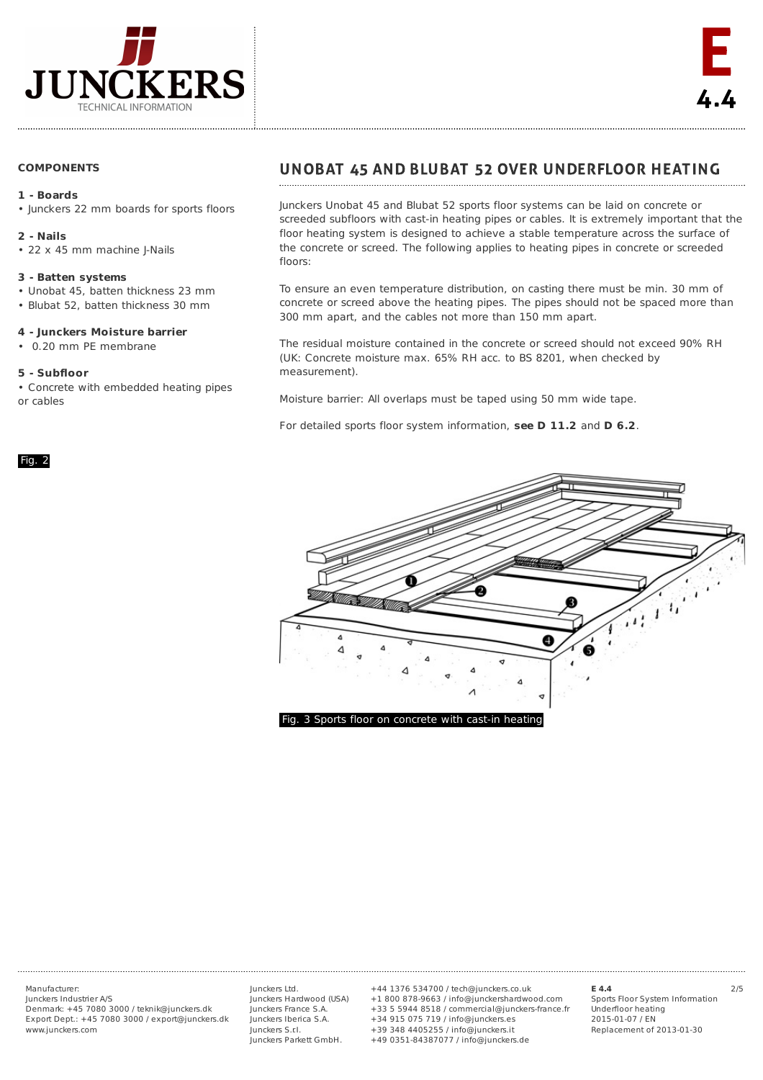

# **COMPONENTS**

# **1 - Boards**

• lunckers 22 mm boards for sports floors

#### **2 - Nails**

• 22 x 45 mm machine J-Nails

### **3 - Batten systems**

- Unobat 45, batten thickness 23 mm
- Blubat 52, batten thickness 30 mm

#### **4 - Junckers Moisture barrier**

• 0.20 mm PE membrane

### **5 - Subfloor**

• Concrete with embedded heating pipes or cables

#### Fig. 2

# UNOBAT 45 AND BLUBAT 52 OVER UNDERFLOOR HEATING

Junckers Unobat 45 and Blubat 52 sports floor systems can be laid on concrete or screeded subfloors with cast-in heating pipes or cables. It is extremely important that the floor heating system is designed to achieve a stable temperature across the surface of the concrete or screed. The following applies to heating pipes in concrete or screeded floors:

To ensure an even temperature distribution, on casting there must be min. 30 mm of concrete or screed above the heating pipes. The pipes should not be spaced more than 300 mm apart, and the cables not more than 150 mm apart.

The residual moisture contained in the concrete or screed should not exceed 90% RH (UK: Concrete moisture max. 65% RH acc. to BS 8201, when checked by measurement).

Moisture barrier: All overlaps must be taped using 50 mm wide tape.

For detailed sports floor system information, **see D 11.2** and **D 6.2**.



Junckers Industrier A/S Denmark: +45 7080 3000 / teknik@junckers.dk Export Dept.: +45 7080 3000 / export@junckers.dk www.junckers.com

Junckers Ltd. Junckers Hardwood (USA) Junckers France S.A. Junckers Iberica S.A. Junckers S.r.I. Junckers Parkett GmbH.

Manufacturer: Junckers Ltd. +44 1376 534700 / tech@junckers.co.uk **E 4.4** 2/5 +1 800 878-9663 / info@junckershardwood.com +33 5 5944 8518 / commercial@junckers-france.fr +34 915 075 719 / info@junckers.es +39 348 4405255 / info@junckers.it +49 0351-84387077 / info@junckers.de

**E 4.4**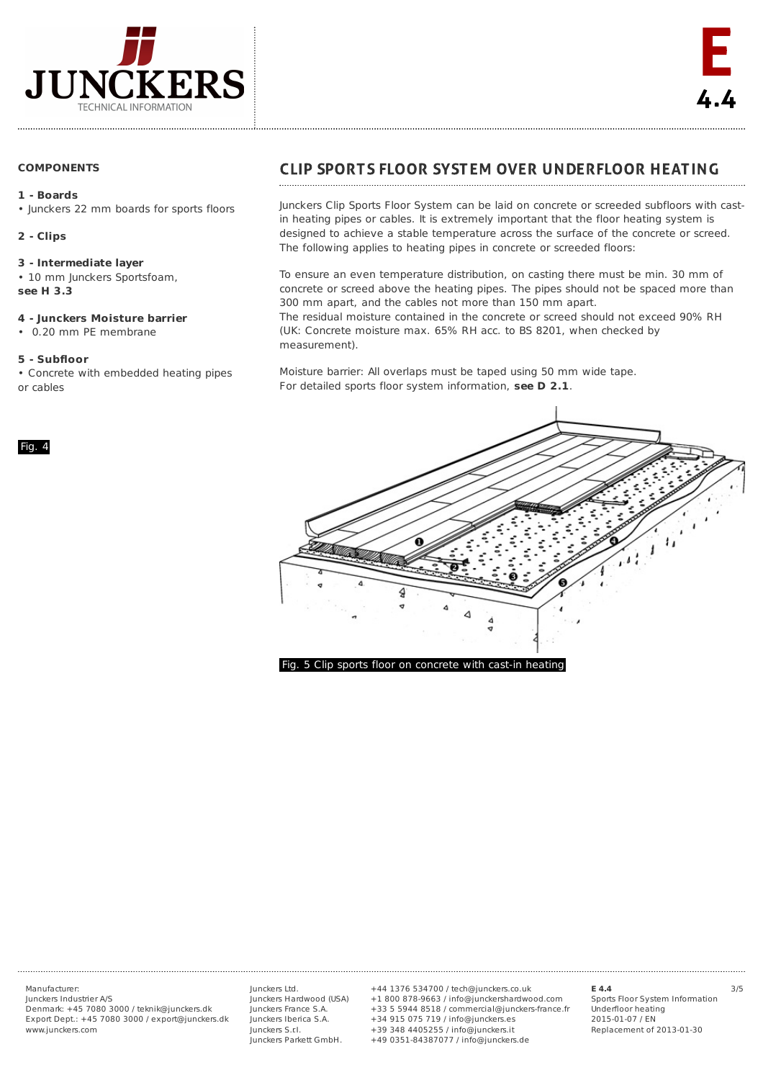

# **COMPONENTS**

# **1 - Boards**

• lunckers 22 mm boards for sports floors

# **2 - Clips**

## **3 - Intermediate layer**

• 10 mm Junckers Sportsfoam, **see H 3.3**

# **4 - Junckers Moisture barrier**

• 0.20 mm PE membrane

# **5 - Subfloor**

Fig. 4

• Concrete with embedded heating pipes or cables

# **CLIP SPORTS FLOOR SYSTEM OVER UNDERFLOOR HEATING**

Junckers Clip Sports Floor System can be laid on concrete or screeded subfloors with castin heating pipes or cables. It is extremely important that the floor heating system is designed to achieve a stable temperature across the surface of the concrete or screed. The following applies to heating pipes in concrete or screeded floors:

To ensure an even temperature distribution, on casting there must be min. 30 mm of concrete or screed above the heating pipes. The pipes should not be spaced more than 300 mm apart, and the cables not more than 150 mm apart. The residual moisture contained in the concrete or screed should not exceed 90% RH

(UK: Concrete moisture max. 65% RH acc. to BS 8201, when checked by measurement).

Moisture barrier: All overlaps must be taped using 50 mm wide tape. For detailed sports floor system information, **see D 2.1**.



Fig. 5 Clip sports floor on concrete with cast-in heating

Junckers Industrier A/S Denmark: +45 7080 3000 / teknik@junckers.dk Export Dept.: +45 7080 3000 / export@junckers.dk www.junckers.com

Junckers Ltd. Junckers Hardwood (USA) Junckers France S.A. Junckers Iberica S.A. Junckers S.r.I. Junckers Parkett GmbH.

Manufacturer: Junckers Ltd. +44 1376 534700 / tech@junckers.co.uk **E 4.4** 3/5 +1 800 878-9663 / info@junckershardwood.com +33 5 5944 8518 / commercial@junckers-france.fr +34 915 075 719 / info@junckers.es +39 348 4405255 / info@junckers.it +49 0351-84387077 / info@junckers.de

**E 4.4**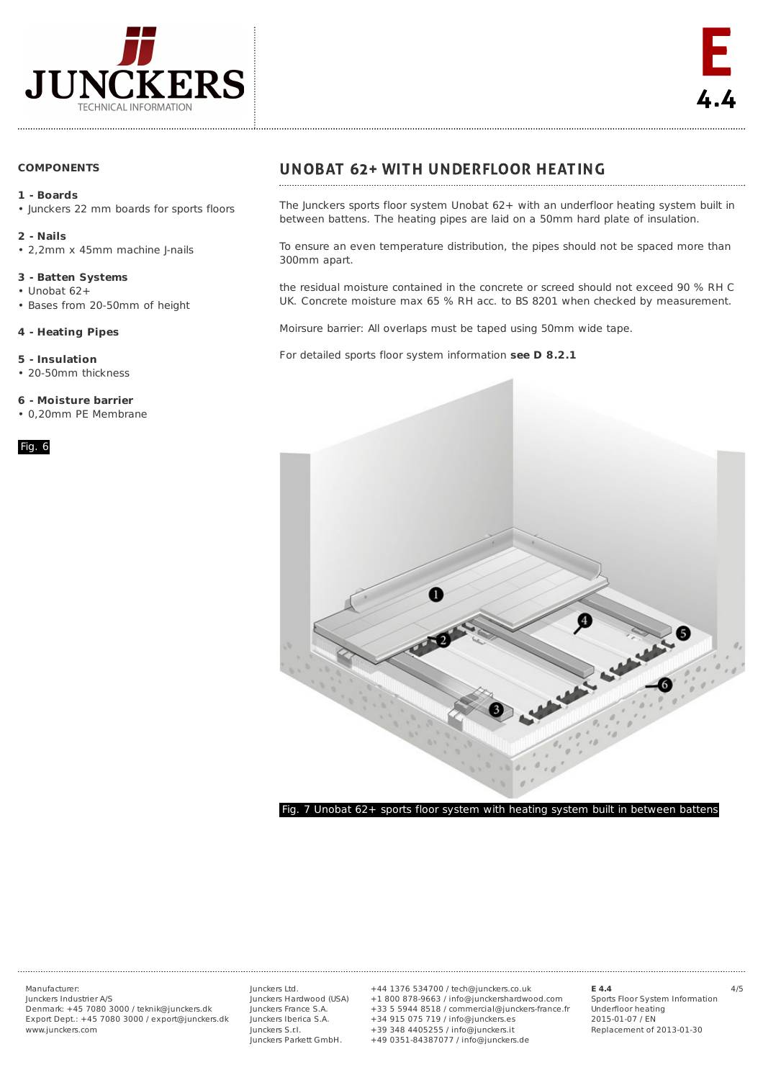

# **COMPONENTS**

# **1 - Boards**

• lunckers 22 mm boards for sports floors

#### **2 - Nails**

• 2,2mm x 45mm machine J-nails

## **3 - Batten Systems**

- Unobat 62+
- Bases from 20-50mm of height

# **4 - Heating Pipes**

**5 - Insulation**

• 20-50mm thickness

### **6 - Moisture barrier**

• 0,20mm PE Membrane

## Fig. 6

# **UNOBAT 62+ WITH UNDERFLOOR HEATING**

The Junckers sports floor system Unobat 62+ with an underfloor heating system built in between battens. The heating pipes are laid on a 50mm hard plate of insulation.

To ensure an even temperature distribution, the pipes should not be spaced more than 300mm apart.

the residual moisture contained in the concrete or screed should not exceed 90 % RH C UK. Concrete moisture max 65 % RH acc. to BS 8201 when checked by measurement.

Moirsure barrier: All overlaps must be taped using 50mm wide tape.

For detailed sports floor system information **see D 8.2.1**



Junckers Industrier A/S Denmark: +45 7080 3000 / teknik@junckers.dk Export Dept.: +45 7080 3000 / export@junckers.dk www.junckers.com

Junckers Ltd. Junckers Hardwood (USA) Junckers France S.A. Junckers Iberica S.A. Junckers S.r.I. Junckers Parkett GmbH.

Manufacturer: Junckers Ltd. +44 1376 534700 / tech@junckers.co.uk **E 4.4** 4/5 +1 800 878-9663 / info@junckershardwood.com +33 5 5944 8518 / commercial@junckers-france.fr +34 915 075 719 / info@junckers.es +39 348 4405255 / info@junckers.it +49 0351-84387077 / info@junckers.de

#### **E 4.4**